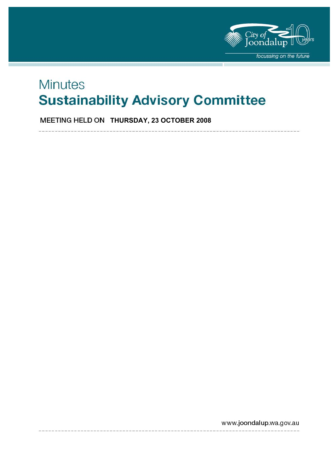

# **Minutes Sustainability Advisory Committee**

**MEETING HELD ON THURSDAY, 23 OCTOBER 2008** 

www.joondalup.wa.gov.au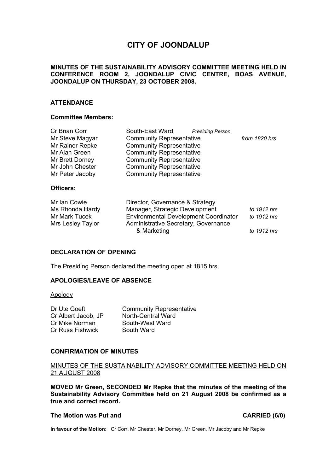# **CITY OF JOONDALUP**

#### **MINUTES OF THE SUSTAINABILITY ADVISORY COMMITTEE MEETING HELD IN CONFERENCE ROOM 2, JOONDALUP CIVIC CENTRE, BOAS AVENUE, JOONDALUP ON THURSDAY, 23 OCTOBER 2008.**

#### **ATTENDANCE**

#### **Committee Members:**

| Cr Brian Corr                      | South-East Ward<br><b>Presiding Person</b>                                           |               |
|------------------------------------|--------------------------------------------------------------------------------------|---------------|
| Mr Steve Magyar                    | <b>Community Representative</b>                                                      | from 1820 hrs |
| Mr Rainer Repke                    | <b>Community Representative</b>                                                      |               |
| Mr Alan Green                      | <b>Community Representative</b>                                                      |               |
| Mr Brett Dorney                    | <b>Community Representative</b>                                                      |               |
| Mr John Chester                    | <b>Community Representative</b>                                                      |               |
| Mr Peter Jacoby                    | <b>Community Representative</b>                                                      |               |
| Officers:                          |                                                                                      |               |
| Mr Ian Cowie                       | Director, Governance & Strategy                                                      |               |
| Ms Rhonda Hardy                    | Manager, Strategic Development                                                       | to 1912 hrs   |
| Mr Mark Tucek<br>Mrs Lesley Taylor | <b>Environmental Development Coordinator</b><br>Administrative Secretary, Governance | to 1912 hrs   |
|                                    | & Marketing                                                                          | to 1912 hrs   |

#### **DECLARATION OF OPENING**

The Presiding Person declared the meeting open at 1815 hrs.

### **APOLOGIES/LEAVE OF ABSENCE**

Apology

| Dr Ute Goeft        | <b>Community Representative</b> |
|---------------------|---------------------------------|
| Cr Albert Jacob, JP | North-Central Ward              |
| Cr Mike Norman      | South-West Ward                 |
| Cr Russ Fishwick    | South Ward                      |

#### **CONFIRMATION OF MINUTES**

#### MINUTES OF THE SUSTAINABILITY ADVISORY COMMITTEE MEETING HELD ON 21 AUGUST 2008

**MOVED Mr Green, SECONDED Mr Repke that the minutes of the meeting of the Sustainability Advisory Committee held on 21 August 2008 be confirmed as a true and correct record.** 

#### The Motion was Put and **CARRIED** (6/0)

**In favour of the Motion:** Cr Corr, Mr Chester, Mr Dorney, Mr Green, Mr Jacoby and Mr Repke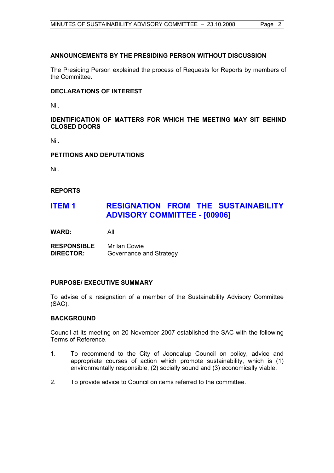### **ANNOUNCEMENTS BY THE PRESIDING PERSON WITHOUT DISCUSSION**

The Presiding Person explained the process of Requests for Reports by members of the Committee.

#### **DECLARATIONS OF INTEREST**

Nil.

### **IDENTIFICATION OF MATTERS FOR WHICH THE MEETING MAY SIT BEHIND CLOSED DOORS**

Nil.

#### **PETITIONS AND DEPUTATIONS**

Nil.

### **REPORTS**

# **ITEM 1 RESIGNATION FROM THE SUSTAINABILITY ADVISORY COMMITTEE - [00906]**

**WARD:** All

**RESPONSIBLE** Mr Ian Cowie **DIRECTOR:** Governance and Strategy

### **PURPOSE/ EXECUTIVE SUMMARY**

To advise of a resignation of a member of the Sustainability Advisory Committee (SAC).

### **BACKGROUND**

Council at its meeting on 20 November 2007 established the SAC with the following Terms of Reference.

- 1. To recommend to the City of Joondalup Council on policy, advice and appropriate courses of action which promote sustainability, which is (1) environmentally responsible, (2) socially sound and (3) economically viable.
- 2. To provide advice to Council on items referred to the committee.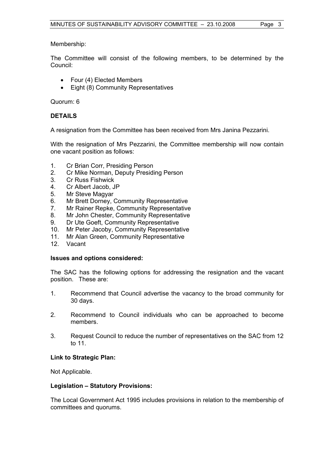#### Membership:

The Committee will consist of the following members, to be determined by the Council:

- Four (4) Elected Members
- Eight (8) Community Representatives

#### Quorum: 6

### **DETAILS**

A resignation from the Committee has been received from Mrs Janina Pezzarini.

With the resignation of Mrs Pezzarini, the Committee membership will now contain one vacant position as follows:

- 1. Cr Brian Corr, Presiding Person
- 2. Cr Mike Norman, Deputy Presiding Person
- 3. Cr Russ Fishwick
- 4. Cr Albert Jacob, JP
- 5. Mr Steve Magyar
- 6. Mr Brett Dorney, Community Representative
- 7. Mr Rainer Repke, Community Representative
- 8. Mr John Chester, Community Representative
- 9. Dr Ute Goeft, Community Representative
- 10. Mr Peter Jacoby, Community Representative
- 11. Mr Alan Green, Community Representative
- 12. Vacant

#### **Issues and options considered:**

The SAC has the following options for addressing the resignation and the vacant position. These are:

- 1. Recommend that Council advertise the vacancy to the broad community for 30 days.
- 2. Recommend to Council individuals who can be approached to become members.
- 3. Request Council to reduce the number of representatives on the SAC from 12 to 11.

#### **Link to Strategic Plan:**

Not Applicable.

#### **Legislation – Statutory Provisions:**

The Local Government Act 1995 includes provisions in relation to the membership of committees and quorums.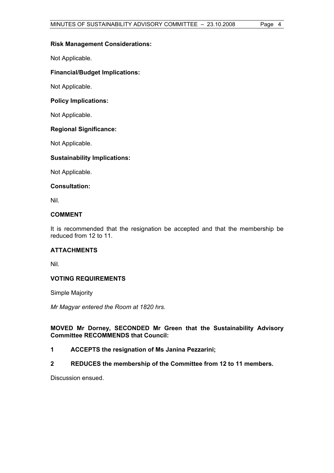#### **Risk Management Considerations:**

Not Applicable.

### **Financial/Budget Implications:**

Not Applicable.

#### **Policy Implications:**

Not Applicable.

#### **Regional Significance:**

Not Applicable.

#### **Sustainability Implications:**

Not Applicable.

#### **Consultation:**

Nil.

#### **COMMENT**

It is recommended that the resignation be accepted and that the membership be reduced from 12 to 11.

### **ATTACHMENTS**

Nil.

### **VOTING REQUIREMENTS**

Simple Majority

*Mr Magyar entered the Room at 1820 hrs.* 

#### **MOVED Mr Dorney, SECONDED Mr Green that the Sustainability Advisory Committee RECOMMENDS that Council:**

- **1 ACCEPTS the resignation of Ms Janina Pezzarini;**
- **2 REDUCES the membership of the Committee from 12 to 11 members.**

Discussion ensued.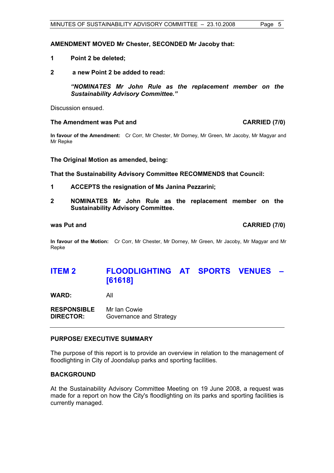#### **AMENDMENT MOVED Mr Chester, SECONDED Mr Jacoby that:**

- **1 Point 2 be deleted;**
- **2 a new Point 2 be added to read:**

*"NOMINATES Mr John Rule as the replacement member on the Sustainability Advisory Committee."* 

Discussion ensued.

#### **The Amendment was Put and CARRIED (7/0) CARRIED** (7/0)

**In favour of the Amendment:** Cr Corr, Mr Chester, Mr Dorney, Mr Green, Mr Jacoby, Mr Magyar and Mr Repke

**The Original Motion as amended, being:** 

**That the Sustainability Advisory Committee RECOMMENDS that Council:** 

- **1 ACCEPTS the resignation of Ms Janina Pezzarini;**
- **2 NOMINATES Mr John Rule as the replacement member on the Sustainability Advisory Committee.**

#### **was Put and was Put and CARRIED** (7/0)

**In favour of the Motion:** Cr Corr, Mr Chester, Mr Dorney, Mr Green, Mr Jacoby, Mr Magyar and Mr Repke

# **ITEM 2 FLOODLIGHTING AT SPORTS VENUES – [61618]**

**WARD:** All

**RESPONSIBLE** Mr Ian Cowie **DIRECTOR:** Governance and Strategy

#### **PURPOSE/ EXECUTIVE SUMMARY**

The purpose of this report is to provide an overview in relation to the management of floodlighting in City of Joondalup parks and sporting facilities.

#### **BACKGROUND**

At the Sustainability Advisory Committee Meeting on 19 June 2008, a request was made for a report on how the City's floodlighting on its parks and sporting facilities is currently managed.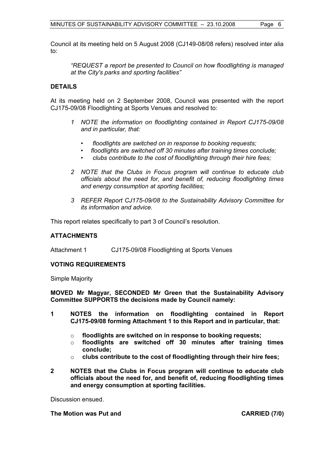Council at its meeting held on 5 August 2008 (CJ149-08/08 refers) resolved inter alia to:

*"REQUEST a report be presented to Council on how floodlighting is managed at the City's parks and sporting facilities"* 

#### **DETAILS**

At its meeting held on 2 September 2008, Council was presented with the report CJ175-09/08 Floodlighting at Sports Venues and resolved to:

- *1 NOTE the information on floodlighting contained in Report CJ175-09/08 and in particular, that:* 
	- *floodlights are switched on in response to booking requests;*
	- *floodlights are switched off 30 minutes after training times conclude;*
	- *clubs contribute to the cost of floodlighting through their hire fees;*
- *2 NOTE that the Clubs in Focus program will continue to educate club officials about the need for, and benefit of, reducing floodlighting times and energy consumption at sporting facilities;*
- *3 REFER Report CJ175-09/08 to the Sustainability Advisory Committee for its information and advice.*

This report relates specifically to part 3 of Council's resolution.

#### **ATTACHMENTS**

Attachment 1 CJ175-09/08 Floodlighting at Sports Venues

#### **VOTING REQUIREMENTS**

Simple Majority

**MOVED Mr Magyar, SECONDED Mr Green that the Sustainability Advisory Committee SUPPORTS the decisions made by Council namely:** 

- **1 NOTES the information on floodlighting contained in Report CJ175-09/08 forming Attachment 1 to this Report and in particular, that:** 
	- o **floodlights are switched on in response to booking requests;**
	- o **floodlights are switched off 30 minutes after training times conclude;**
	- o **clubs contribute to the cost of floodlighting through their hire fees;**
- **2 NOTES that the Clubs in Focus program will continue to educate club officials about the need for, and benefit of, reducing floodlighting times and energy consumption at sporting facilities.**

Discussion ensued.

**The Motion was Put and CARRIED (7/0) CARRIED (7/0)**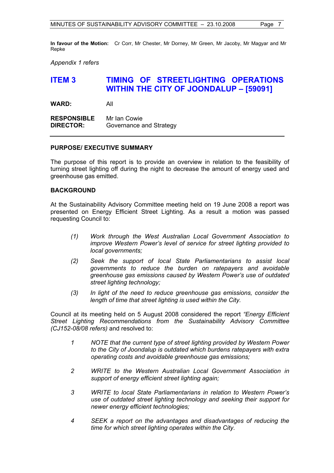**In favour of the Motion:** Cr Corr, Mr Chester, Mr Dorney, Mr Green, Mr Jacoby, Mr Magyar and Mr Repke

*Appendix 1 refers* 

## **ITEM 3 TIMING OF STREETLIGHTING OPERATIONS WITHIN THE CITY OF JOONDALUP – [59091]**

**WARD:** All

**RESPONSIBLE** Mr Ian Cowie **DIRECTOR:** Governance and Strategy

#### **PURPOSE/ EXECUTIVE SUMMARY**

The purpose of this report is to provide an overview in relation to the feasibility of turning street lighting off during the night to decrease the amount of energy used and greenhouse gas emitted.

#### **BACKGROUND**

At the Sustainability Advisory Committee meeting held on 19 June 2008 a report was presented on Energy Efficient Street Lighting. As a result a motion was passed requesting Council to:

- *(1) Work through the West Australian Local Government Association to improve Western Power's level of service for street lighting provided to local governments;*
- *(2) Seek the support of local State Parliamentarians to assist local governments to reduce the burden on ratepayers and avoidable greenhouse gas emissions caused by Western Power's use of outdated street lighting technology;*
- *(3) In light of the need to reduce greenhouse gas emissions, consider the length of time that street lighting is used within the City.*

Council at its meeting held on 5 August 2008 considered the report *"Energy Efficient Street Lighting Recommendations from the Sustainability Advisory Committee (CJ152-08/08 refers)* and resolved to:

- *1 NOTE that the current type of street lighting provided by Western Power to the City of Joondalup is outdated which burdens ratepayers with extra operating costs and avoidable greenhouse gas emissions;*
- *2 WRITE to the Western Australian Local Government Association in support of energy efficient street lighting again;*
- *3 WRITE to local State Parliamentarians in relation to Western Power's use of outdated street lighting technology and seeking their support for newer energy efficient technologies;*
- *4 SEEK a report on the advantages and disadvantages of reducing the time for which street lighting operates within the City.*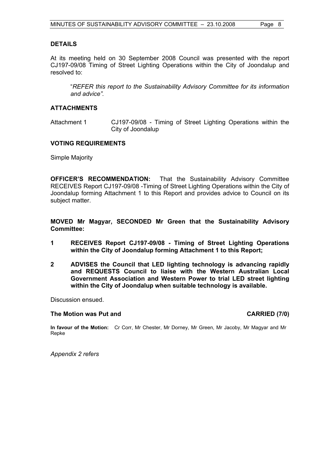#### **DETAILS**

At its meeting held on 30 September 2008 Council was presented with the report CJ197-09/08 Timing of Street Lighting Operations within the City of Joondalup and resolved to:

"*REFER this report to the Sustainability Advisory Committee for its information and advice".* 

#### **ATTACHMENTS**

Attachment 1 CJ197-09/08 - Timing of Street Lighting Operations within the City of Joondalup

#### **VOTING REQUIREMENTS**

Simple Majority

**OFFICER'S RECOMMENDATION:** That the Sustainability Advisory Committee RECEIVES Report CJ197-09/08 -Timing of Street Lighting Operations within the City of Joondalup forming Attachment 1 to this Report and provides advice to Council on its subject matter.

**MOVED Mr Magyar, SECONDED Mr Green that the Sustainability Advisory Committee:** 

- **1 RECEIVES Report CJ197-09/08 Timing of Street Lighting Operations within the City of Joondalup forming Attachment 1 to this Report;**
- **2 ADVISES the Council that LED lighting technology is advancing rapidly and REQUESTS Council to liaise with the Western Australian Local Government Association and Western Power to trial LED street lighting within the City of Joondalup when suitable technology is available.**

Discussion ensued.

#### **The Motion was Put and CARRIED (7/0) CARRIED (7/0)**

**In favour of the Motion:** Cr Corr, Mr Chester, Mr Dorney, Mr Green, Mr Jacoby, Mr Magyar and Mr Repke

*Appendix 2 refers*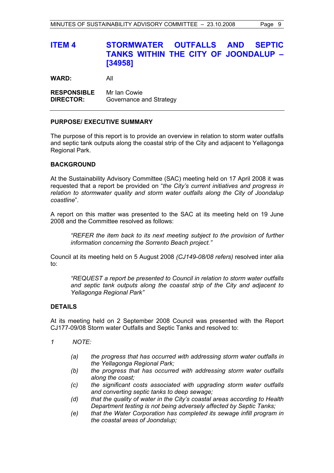# **ITEM 4 STORMWATER OUTFALLS AND SEPTIC TANKS WITHIN THE CITY OF JOONDALUP – [34958]**

**WARD:** All

**RESPONSIBLE** Mr Ian Cowie **DIRECTOR:** Governance and Strategy

#### **PURPOSE/ EXECUTIVE SUMMARY**

The purpose of this report is to provide an overview in relation to storm water outfalls and septic tank outputs along the coastal strip of the City and adjacent to Yellagonga Regional Park.

### **BACKGROUND**

At the Sustainability Advisory Committee (SAC) meeting held on 17 April 2008 it was requested that a report be provided on "*the City's current initiatives and progress in relation to stormwater quality and storm water outfalls along the City of Joondalup coastline*".

A report on this matter was presented to the SAC at its meeting held on 19 June 2008 and the Committee resolved as follows:

*"REFER the item back to its next meeting subject to the provision of further information concerning the Sorrento Beach project."* 

Council at its meeting held on 5 August 2008 *(CJ149-08/08 refers)* resolved inter alia to:

*"REQUEST a report be presented to Council in relation to storm water outfalls and septic tank outputs along the coastal strip of the City and adjacent to Yellagonga Regional Park"* 

#### **DETAILS**

At its meeting held on 2 September 2008 Council was presented with the Report CJ177-09/08 Storm water Outfalls and Septic Tanks and resolved to:

- *1 NOTE:* 
	- *(a) the progress that has occurred with addressing storm water outfalls in the Yellagonga Regional Park;*
	- *(b) the progress that has occurred with addressing storm water outfalls along the coast;*
	- *(c) the significant costs associated with upgrading storm water outfalls and converting septic tanks to deep sewage;*
	- *(d) that the quality of water in the City's coastal areas according to Health Department testing is not being adversely affected by Septic Tanks;*
	- *(e) that the Water Corporation has completed its sewage infill program in the coastal areas of Joondalup;*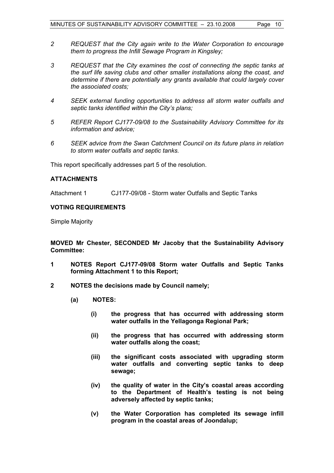- *2 REQUEST that the City again write to the Water Corporation to encourage them to progress the Infill Sewage Program in Kingsley;*
- *3 REQUEST that the City examines the cost of connecting the septic tanks at the surf life saving clubs and other smaller installations along the coast, and determine if there are potentially any grants available that could largely cover the associated costs;*
- *4 SEEK external funding opportunities to address all storm water outfalls and septic tanks identified within the City's plans;*
- *5 REFER Report CJ177-09/08 to the Sustainability Advisory Committee for its information and advice;*
- *6 SEEK advice from the Swan Catchment Council on its future plans in relation to storm water outfalls and septic tanks.*

This report specifically addresses part 5 of the resolution.

#### **ATTACHMENTS**

Attachment 1 CJ177-09/08 - Storm water Outfalls and Septic Tanks

### **VOTING REQUIREMENTS**

Simple Majority

**MOVED Mr Chester, SECONDED Mr Jacoby that the Sustainability Advisory Committee:** 

- **1 NOTES Report CJ177-09/08 Storm water Outfalls and Septic Tanks forming Attachment 1 to this Report;**
- **2 NOTES the decisions made by Council namely;** 
	- **(a) NOTES:** 
		- **(i) the progress that has occurred with addressing storm water outfalls in the Yellagonga Regional Park;**
		- **(ii) the progress that has occurred with addressing storm water outfalls along the coast;**
		- **(iii) the significant costs associated with upgrading storm water outfalls and converting septic tanks to deep sewage;**
		- **(iv) the quality of water in the City's coastal areas according to the Department of Health's testing is not being adversely affected by septic tanks;**
		- **(v) the Water Corporation has completed its sewage infill program in the coastal areas of Joondalup;**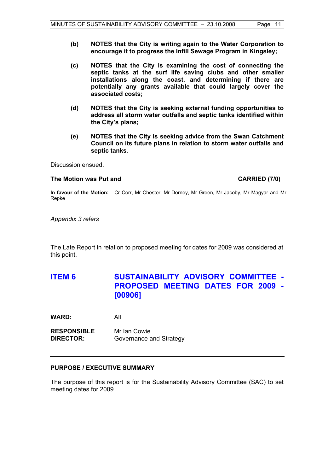- **(b) NOTES that the City is writing again to the Water Corporation to encourage it to progress the Infill Sewage Program in Kingsley;**
- **(c) NOTES that the City is examining the cost of connecting the septic tanks at the surf life saving clubs and other smaller installations along the coast, and determining if there are potentially any grants available that could largely cover the associated costs;**
- **(d) NOTES that the City is seeking external funding opportunities to address all storm water outfalls and septic tanks identified within the City's plans;**
- **(e) NOTES that the City is seeking advice from the Swan Catchment Council on its future plans in relation to storm water outfalls and septic tanks***.*

Discussion ensued.

#### The Motion was Put and **CARRIED** (7/0)

**In favour of the Motion:** Cr Corr, Mr Chester, Mr Dorney, Mr Green, Mr Jacoby, Mr Magyar and Mr Repke

*Appendix 3 refers* 

The Late Report in relation to proposed meeting for dates for 2009 was considered at this point.

# **ITEM 6 SUSTAINABILITY ADVISORY COMMITTEE - PROPOSED MEETING DATES FOR 2009 - [00906]**

**WARD:** All

**RESPONSIBLE** Mr Ian Cowie **DIRECTOR:** Governance and Strategy

### **PURPOSE / EXECUTIVE SUMMARY**

The purpose of this report is for the Sustainability Advisory Committee (SAC) to set meeting dates for 2009.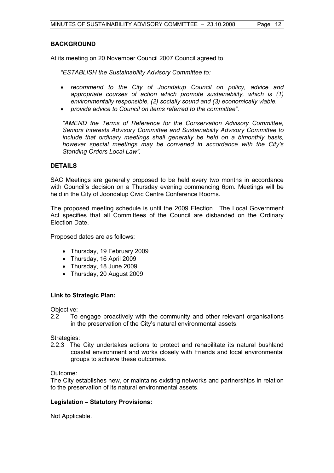#### **BACKGROUND**

At its meeting on 20 November Council 2007 Council agreed to:

*"ESTABLISH the Sustainability Advisory Committee to:* 

- *recommend to the City of Joondalup Council on policy, advice and appropriate courses of action which promote sustainability, which is (1) environmentally responsible, (2) socially sound and (3) economically viable.*
- *provide advice to Council on items referred to the committee".*

*"AMEND the Terms of Reference for the Conservation Advisory Committee, Seniors Interests Advisory Committee and Sustainability Advisory Committee to include that ordinary meetings shall generally be held on a bimonthly basis, however special meetings may be convened in accordance with the City's Standing Orders Local Law".* 

#### **DETAILS**

SAC Meetings are generally proposed to be held every two months in accordance with Council's decision on a Thursday evening commencing 6pm. Meetings will be held in the City of Joondalup Civic Centre Conference Rooms.

The proposed meeting schedule is until the 2009 Election. The Local Government Act specifies that all Committees of the Council are disbanded on the Ordinary Election Date.

Proposed dates are as follows:

- Thursday, 19 February 2009
- Thursday, 16 April 2009
- Thursday, 18 June 2009
- Thursday, 20 August 2009

#### **Link to Strategic Plan:**

Objective:

2.2 To engage proactively with the community and other relevant organisations in the preservation of the City's natural environmental assets.

Strategies:

2.2.3 The City undertakes actions to protect and rehabilitate its natural bushland coastal environment and works closely with Friends and local environmental groups to achieve these outcomes.

Outcome:

The City establishes new, or maintains existing networks and partnerships in relation to the preservation of its natural environmental assets.

#### **Legislation – Statutory Provisions:**

Not Applicable.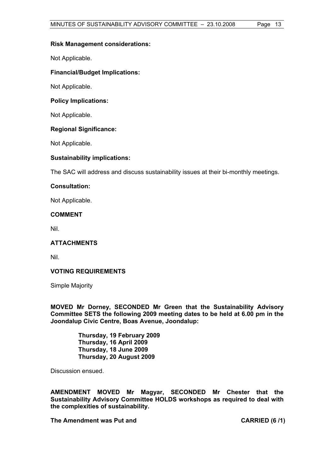#### **Risk Management considerations:**

Not Applicable.

### **Financial/Budget Implications:**

Not Applicable.

#### **Policy Implications:**

Not Applicable.

#### **Regional Significance:**

Not Applicable.

#### **Sustainability implications:**

The SAC will address and discuss sustainability issues at their bi-monthly meetings.

### **Consultation:**

Not Applicable.

#### **COMMENT**

Nil.

### **ATTACHMENTS**

Nil.

### **VOTING REQUIREMENTS**

Simple Majority

**MOVED Mr Dorney, SECONDED Mr Green that the Sustainability Advisory Committee SETS the following 2009 meeting dates to be held at 6.00 pm in the Joondalup Civic Centre, Boas Avenue, Joondalup:** 

> **Thursday, 19 February 2009 Thursday, 16 April 2009 Thursday, 18 June 2009 Thursday, 20 August 2009**

Discussion ensued.

**AMENDMENT MOVED Mr Magyar, SECONDED Mr Chester that the Sustainability Advisory Committee HOLDS workshops as required to deal with the complexities of sustainability.** 

The Amendment was Put and **CARRIED** (6 /1)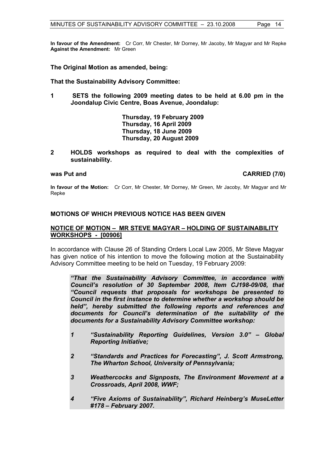**In favour of the Amendment:** Cr Corr, Mr Chester, Mr Dorney, Mr Jacoby, Mr Magyar and Mr Repke **Against the Amendment:** Mr Green

#### **The Original Motion as amended, being:**

**That the Sustainability Advisory Committee:** 

**1 SETS the following 2009 meeting dates to be held at 6.00 pm in the Joondalup Civic Centre, Boas Avenue, Joondalup:** 

> **Thursday, 19 February 2009 Thursday, 16 April 2009 Thursday, 18 June 2009 Thursday, 20 August 2009**

**2 HOLDS workshops as required to deal with the complexities of sustainability.** 

#### **was Put and CARRIED (7/0) CARRIED (7/0)**

**In favour of the Motion:** Cr Corr, Mr Chester, Mr Dorney, Mr Green, Mr Jacoby, Mr Magyar and Mr Repke

#### **MOTIONS OF WHICH PREVIOUS NOTICE HAS BEEN GIVEN**

#### **NOTICE OF MOTION – MR STEVE MAGYAR – HOLDING OF SUSTAINABILITY WORKSHOPS - [00906]**

In accordance with Clause 26 of Standing Orders Local Law 2005, Mr Steve Magyar has given notice of his intention to move the following motion at the Sustainability Advisory Committee meeting to be held on Tuesday, 19 February 2009:

*"That the Sustainability Advisory Committee, in accordance with Council's resolution of 30 September 2008, Item CJ198-09/08, that "Council requests that proposals for workshops be presented to Council in the first instance to determine whether a workshop should be held", hereby submitted the following reports and references and documents for Council's determination of the suitability of the documents for a Sustainability Advisory Committee workshop:* 

- *1 "Sustainability Reporting Guidelines, Version 3.0" Global Reporting Initiative;*
- *2 "Standards and Practices for Forecasting", J. Scott Armstrong, The Wharton School, University of Pennsylvania;*
- *3 Weathercocks and Signposts, The Environment Movement at a Crossroads, April 2008, WWF;*
- *4 "Five Axioms of Sustainability", Richard Heinberg's MuseLetter #178 – February 2007.*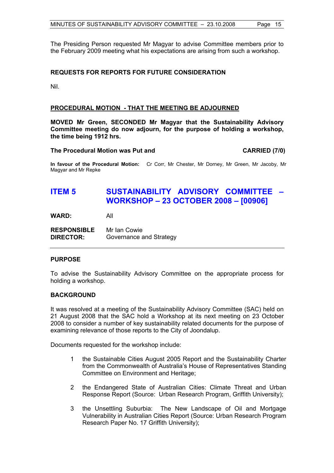The Presiding Person requested Mr Magyar to advise Committee members prior to the February 2009 meeting what his expectations are arising from such a workshop.

#### **REQUESTS FOR REPORTS FOR FUTURE CONSIDERATION**

Nil.

#### **PROCEDURAL MOTION - THAT THE MEETING BE ADJOURNED**

**MOVED Mr Green, SECONDED Mr Magyar that the Sustainability Advisory Committee meeting do now adjourn, for the purpose of holding a workshop, the time being 1912 hrs.** 

#### The Procedural Motion was Put and **CARRIED** (7/0)

**In favour of the Procedural Motion:** Cr Corr, Mr Chester, Mr Dorney, Mr Green, Mr Jacoby, Mr Magyar and Mr Repke

# **ITEM 5 SUSTAINABILITY ADVISORY COMMITTEE – WORKSHOP – 23 OCTOBER 2008 – [00906]**

**WARD:** All

| <b>RESPONSIBLE</b> | Mr Ian Cowie            |
|--------------------|-------------------------|
| <b>DIRECTOR:</b>   | Governance and Strategy |

#### **PURPOSE**

To advise the Sustainability Advisory Committee on the appropriate process for holding a workshop.

#### **BACKGROUND**

It was resolved at a meeting of the Sustainability Advisory Committee (SAC) held on 21 August 2008 that the SAC hold a Workshop at its next meeting on 23 October 2008 to consider a number of key sustainability related documents for the purpose of examining relevance of those reports to the City of Joondalup.

Documents requested for the workshop include:

- 1 the Sustainable Cities August 2005 Report and the Sustainability Charter from the Commonwealth of Australia's House of Representatives Standing Committee on Environment and Heritage;
- 2 the Endangered State of Australian Cities: Climate Threat and Urban Response Report (Source: Urban Research Program, Griffith University);
- 3 the Unsettling Suburbia: The New Landscape of Oil and Mortgage Vulnerability in Australian Cities Report (Source: Urban Research Program Research Paper No. 17 Griffith University);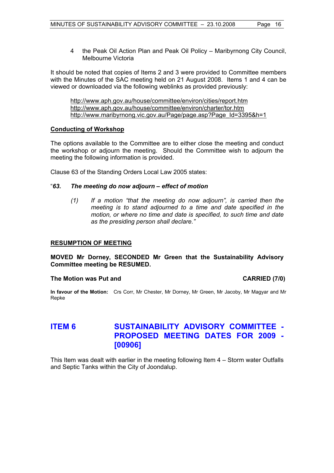4 the Peak Oil Action Plan and Peak Oil Policy – Maribyrnong City Council, Melbourne Victoria

It should be noted that copies of Items 2 and 3 were provided to Committee members with the Minutes of the SAC meeting held on 21 August 2008. Items 1 and 4 can be viewed or downloaded via the following weblinks as provided previously:

http://www.aph.gov.au/house/committee/environ/cities/report.htm http://www.aph.gov.au/house/committee/environ/charter/tor.htm http://www.maribyrnong.vic.gov.au/Page/page.asp?Page\_Id=3395&h=1

#### **Conducting of Workshop**

The options available to the Committee are to either close the meeting and conduct the workshop or adjourn the meeting. Should the Committee wish to adjourn the meeting the following information is provided.

Clause 63 of the Standing Orders Local Law 2005 states:

### "*63. The meeting do now adjourn – effect of motion*

*(1) If a motion "that the meeting do now adjourn", is carried then the meeting is to stand adjourned to a time and date specified in the motion, or where no time and date is specified, to such time and date as the presiding person shall declare."* 

#### **RESUMPTION OF MEETING**

**MOVED Mr Dorney, SECONDED Mr Green that the Sustainability Advisory Committee meeting be RESUMED.** 

#### The Motion was Put and **CARRIED** (7/0)

**In favour of the Motion:** Crs Corr, Mr Chester, Mr Dorney, Mr Green, Mr Jacoby, Mr Magyar and Mr Repke

# **ITEM 6 SUSTAINABILITY ADVISORY COMMITTEE - PROPOSED MEETING DATES FOR 2009 - [00906]**

This Item was dealt with earlier in the meeting following Item 4 – Storm water Outfalls and Septic Tanks within the City of Joondalup.